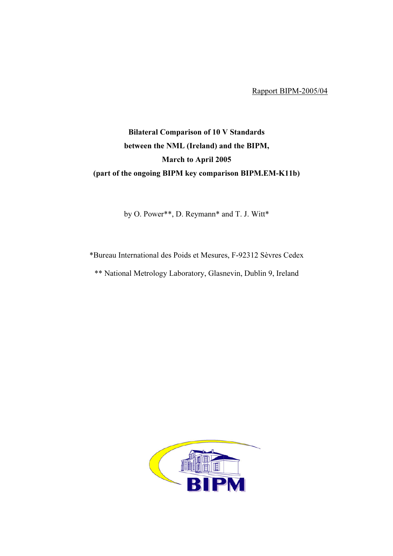Rapport BIPM-2005/04

## Bilateral Comparison of 10 V Standards between the NML (Ireland) and the BIPM, March to April 2005 (part of the ongoing BIPM key comparison BIPM.EM-K11b)

by O. Power\*\*, D. Reymann\* and T. J. Witt\*

\*Bureau International des Poids et Mesures, F-92312 Sèvres Cedex

\*\* National Metrology Laboratory, Glasnevin, Dublin 9, Ireland

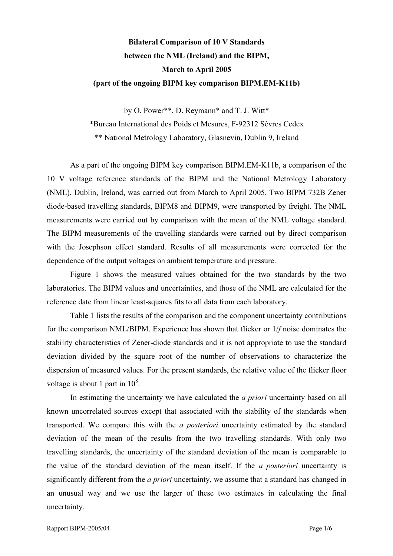## Bilateral Comparison of 10 V Standards between the NML (Ireland) and the BIPM, March to April 2005 (part of the ongoing BIPM key comparison BIPM.EM-K11b)

by O. Power\*\*, D. Reymann\* and T. J. Witt\*

\*Bureau International des Poids et Mesures, F-92312 Sèvres Cedex

\*\* National Metrology Laboratory, Glasnevin, Dublin 9, Ireland

 As a part of the ongoing BIPM key comparison BIPM.EM-K11b, a comparison of the 10 V voltage reference standards of the BIPM and the National Metrology Laboratory (NML), Dublin, Ireland, was carried out from March to April 2005. Two BIPM 732B Zener diode-based travelling standards, BIPM8 and BIPM9, were transported by freight. The NML measurements were carried out by comparison with the mean of the NML voltage standard. The BIPM measurements of the travelling standards were carried out by direct comparison with the Josephson effect standard. Results of all measurements were corrected for the dependence of the output voltages on ambient temperature and pressure.

 Figure 1 shows the measured values obtained for the two standards by the two laboratories. The BIPM values and uncertainties, and those of the NML are calculated for the reference date from linear least-squares fits to all data from each laboratory.

 Table 1 lists the results of the comparison and the component uncertainty contributions for the comparison NML/BIPM. Experience has shown that flicker or 1/f noise dominates the stability characteristics of Zener-diode standards and it is not appropriate to use the standard deviation divided by the square root of the number of observations to characterize the dispersion of measured values. For the present standards, the relative value of the flicker floor voltage is about 1 part in  $10^8$ .

In estimating the uncertainty we have calculated the *a priori* uncertainty based on all known uncorrelated sources except that associated with the stability of the standards when transported. We compare this with the a posteriori uncertainty estimated by the standard deviation of the mean of the results from the two travelling standards. With only two travelling standards, the uncertainty of the standard deviation of the mean is comparable to the value of the standard deviation of the mean itself. If the a posteriori uncertainty is significantly different from the *a priori* uncertainty, we assume that a standard has changed in an unusual way and we use the larger of these two estimates in calculating the final uncertainty.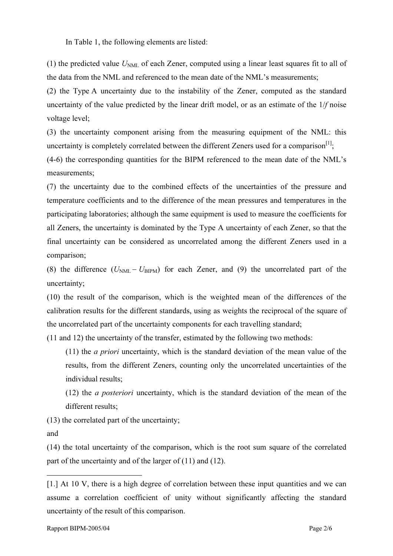In Table 1, the following elements are listed:

(1) the predicted value  $U<sub>NMI</sub>$  of each Zener, computed using a linear least squares fit to all of the data from the NML and referenced to the mean date of the NML's measurements;

(2) the Type A uncertainty due to the instability of the Zener, computed as the standard uncertainty of the value predicted by the linear drift model, or as an estimate of the 1/f noise voltage level;

(3) the uncertainty component arising from the measuring equipment of the NML: this uncertainty is completely correlated between the different Zeners used for a comparison<sup>[1]</sup>;

(4-6) the corresponding quantities for the BIPM referenced to the mean date of the NML's measurements;

(7) the uncertainty due to the combined effects of the uncertainties of the pressure and temperature coefficients and to the difference of the mean pressures and temperatures in the participating laboratories; although the same equipment is used to measure the coefficients for all Zeners, the uncertainty is dominated by the Type A uncertainty of each Zener, so that the final uncertainty can be considered as uncorrelated among the different Zeners used in a comparison;

(8) the difference  $(U_{NML} - U_{BIPM})$  for each Zener, and (9) the uncorrelated part of the uncertainty;

(10) the result of the comparison, which is the weighted mean of the differences of the calibration results for the different standards, using as weights the reciprocal of the square of the uncorrelated part of the uncertainty components for each travelling standard;

(11 and 12) the uncertainty of the transfer, estimated by the following two methods:

(11) the a priori uncertainty, which is the standard deviation of the mean value of the results, from the different Zeners, counting only the uncorrelated uncertainties of the individual results;

(12) the a posteriori uncertainty, which is the standard deviation of the mean of the different results;

(13) the correlated part of the uncertainty;

and

 $\overline{a}$ 

(14) the total uncertainty of the comparison, which is the root sum square of the correlated part of the uncertainty and of the larger of (11) and (12).

<sup>[1.]</sup> At 10 V, there is a high degree of correlation between these input quantities and we can assume a correlation coefficient of unity without significantly affecting the standard uncertainty of the result of this comparison.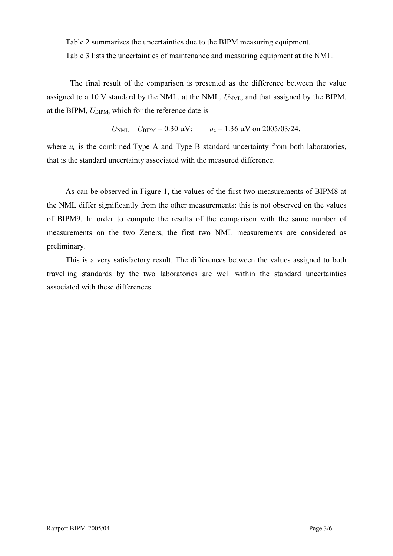Table 2 summarizes the uncertainties due to the BIPM measuring equipment.

Table 3 lists the uncertainties of maintenance and measuring equipment at the NML.

 The final result of the comparison is presented as the difference between the value assigned to a 10 V standard by the NML, at the NML,  $U<sub>NML</sub>$ , and that assigned by the BIPM, at the BIPM,  $U_{\text{BIPM}}$ , which for the reference date is

$$
U_{\text{NML}} - U_{\text{BIPM}} = 0.30 \text{ }\mu\text{V};
$$
  $u_c = 1.36 \text{ }\mu\text{V on } 2005/03/24,$ 

where  $u_c$  is the combined Type A and Type B standard uncertainty from both laboratories, that is the standard uncertainty associated with the measured difference.

As can be observed in Figure 1, the values of the first two measurements of BIPM8 at the NML differ significantly from the other measurements: this is not observed on the values of BIPM9. In order to compute the results of the comparison with the same number of measurements on the two Zeners, the first two NML measurements are considered as preliminary.

This is a very satisfactory result. The differences between the values assigned to both travelling standards by the two laboratories are well within the standard uncertainties associated with these differences.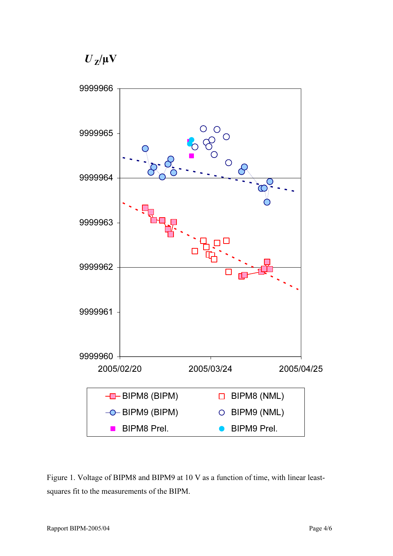*U <sup>Z</sup>*/µV



Figure 1. Voltage of BIPM8 and BIPM9 at 10 V as a function of time, with linear leastsquares fit to the measurements of the BIPM.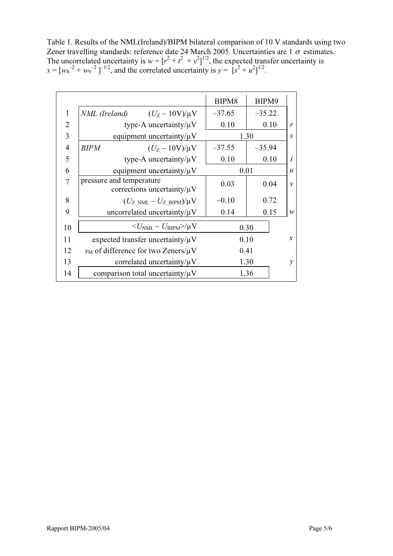Table 1. Results of the NML(Ireland)/BIPM bilateral comparison of 10 V standards using two Zener travelling standards: reference date 24 March 2005. Uncertainties are  $1\sigma$  estimates. The uncorrelated uncertainty is  $w = [r^2 + r^2 + r^2]^{1/2}$ , the expected transfer uncertainty is  $x = [w_8^{-2} + w_9^{-2}]^{-1/2}$ , and the correlated uncertainty is  $y = [s^2 + u^2]^{1/2}$ .

|                |                                                              | BIPM8           | BIPM9    |                  |
|----------------|--------------------------------------------------------------|-----------------|----------|------------------|
| $\mathbf{1}$   | <i>NML</i> (Ireland) $(U_Z - 10V)/\mu V$                     | $-37.65$        | $-35.22$ |                  |
| 2              | type-A uncertainty/ $\mu$ V                                  | 0.10            | 0.10     | r                |
| 3              | equipment uncertainty/ $\mu$ V                               | 1.30            |          | $\boldsymbol{S}$ |
| $\overline{4}$ | $(U_Z - 10V)/\mu V$<br><b>BIPM</b>                           | $-37.55$        | $-35.94$ |                  |
| 5              | type-A uncertainty/ $\mu$ V                                  | 0.10            | 0.10     | t                |
| 6              | equipment uncertainty/ $\mu$ V                               | 0.01            |          | $\boldsymbol{u}$ |
| 7              | pressure and temperature<br>corrections uncertainty/ $\mu$ V | 0.03            | 0.04     | $\mathcal{V}$    |
| 8              | $(U_{Z>NML}-U_{Z-BIPM})/\mu V$                               | 0.72<br>$-0.10$ |          |                  |
| 9              | uncorrelated uncertainty/ $\mu$ V                            | 0.14            | 0.15     | $\mathcal W$     |
| 10             | $<\!\!U_{\rm NML} - U_{\rm BIPM}\!\!>\!\!/\mu{\rm V}$        | 0.30            |          |                  |
| 11             | expected transfer uncertainty/ $\mu$ V                       | 0.10            |          | $\mathcal{X}$    |
| 12             | $s_M$ of difference for two Zeners/ $\mu$ V                  | 0.41            |          |                  |
| 13             | correlated uncertainty/ $\mu$ V                              | 1.30            |          | $\mathcal V$     |
| 14             | comparison total uncertainty/ $\mu$ V                        | 1.36            |          |                  |
|                |                                                              |                 |          |                  |